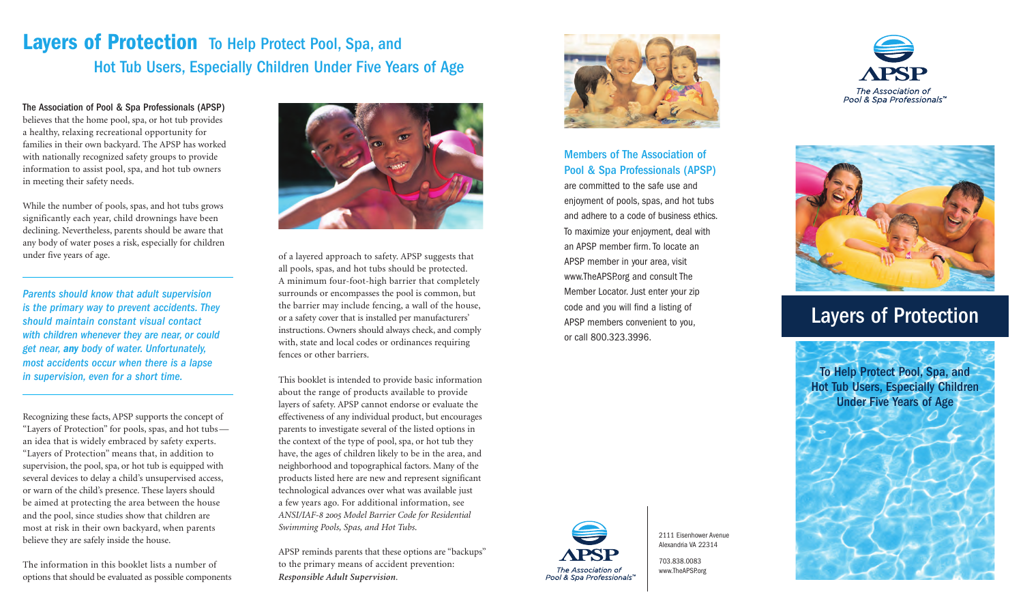# **Layers of Protection** To Help Protect Pool, Spa, and Hot Tub Users, Especially Children Under Five Years of Age

The Association of Pool & Spa Professionals (APSP) believes that the home pool, spa, or hot tub provides a healthy, relaxing recreational opportunity for families in their own backyard. The APSP has worked with nationally recognized safety groups to provide information to assist pool, spa, and hot tub owners in meeting their safety needs.

While the number of pools, spas, and hot tubs grows significantly each year, child drownings have been declining. Nevertheless, parents should be aware that any body of water poses a risk, especially for children under five years of age.

*Parents should know that adult supervision is the primary way to prevent accidents. They should maintain constant visual contact with children whenever they are near, or could get near, any body of water. Unfortunately, most accidents occur when there is a lapse in supervision, even for a short time.*

Recognizing these facts, APSP supports the concept of "Layers of Protection" for pools, spas, and hot tubs an idea that is widely embraced by safety experts. "Layers of Protection" means that, in addition to supervision, the pool, spa, or hot tub is equipped with several devices to delay a child's unsupervised access, or warn of the child's presence. These layers should be aimed at protecting the area between the house and the pool, since studies show that children are most at risk in their own backyard, when parents believe they are safely inside the house.

The information in this booklet lists a number of options that should be evaluated as possible components



of a layered approach to safety. APSP suggests that all pools, spas, and hot tubs should be protected. A minimum four-foot-high barrier that completely surrounds or encompasses the pool is common, but the barrier may include fencing, a wall of the house, or a safety cover that is installed per manufacturers' instructions. Owners should always check, and comply with, state and local codes or ordinances requiring fences or other barriers.

This booklet is intended to provide basic information about the range of products available to provide layers of safety. APSP cannot endorse or evaluate the effectiveness of any individual product, but encourages parents to investigate several of the listed options in the context of the type of pool, spa, or hot tub they have, the ages of children likely to be in the area, and neighborhood and topographical factors. Many of the products listed here are new and represent significant technological advances over what was available just a few years ago. For additional information, see *ANSI/IAF-8 2005 Model Barrier Code for Residential Swimming Pools, Spas, and Hot Tubs*.

APSP reminds parents that these options are "backups" to the primary means of accident prevention: *Responsible Adult Supervision*.



Members of The Association of Pool & Spa Professionals (APSP)

are committed to the safe use and enjoyment of pools, spas, and hot tubs and adhere to a code of business ethics. To maximize your enjoyment, deal with an APSP member firm.To locate an APSP member in your area, visit www.TheAPSP.org and consult The Member Locator. Just enter your zip code and you will find a listing of APSP members convenient to you, or call 800.323.3996.



2111 Eisenhower Avenue Alexandria VA 22314

703.838.0083 www.TheAPSP.org





# Layers of Protection

To Help Protect Pool, Spa, and Hot Tub Users, Especially Children Under Five Years of Age